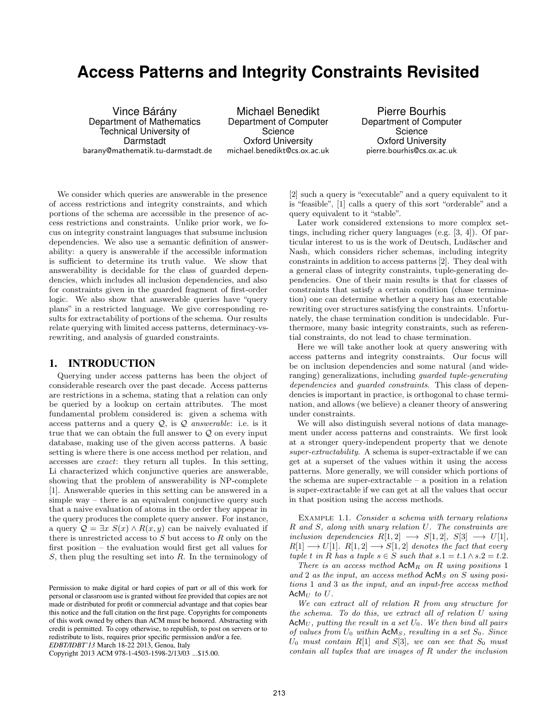# **Access Patterns and Integrity Constraints Revisited**

Vince Bárány Department of Mathematics Technical University of Darmstadt barany@mathematik.tu-darmstadt.de

Michael Benedikt Department of Computer Science Oxford University michael.benedikt@cs.ox.ac.uk

Pierre Bourhis Department of Computer Science Oxford University pierre.bourhis@cs.ox.ac.uk

We consider which queries are answerable in the presence of access restrictions and integrity constraints, and which portions of the schema are accessible in the presence of access restrictions and constraints. Unlike prior work, we focus on integrity constraint languages that subsume inclusion dependencies. We also use a semantic definition of answerability: a query is answerable if the accessible information is sufficient to determine its truth value. We show that answerability is decidable for the class of guarded dependencies, which includes all inclusion dependencies, and also for constraints given in the guarded fragment of first-order logic. We also show that answerable queries have "query plans" in a restricted language. We give corresponding results for extractability of portions of the schema. Our results relate querying with limited access patterns, determinacy-vsrewriting, and analysis of guarded constraints.

#### **1. INTRODUCTION**

Querying under access patterns has been the object of considerable research over the past decade. Access patterns are restrictions in a schema, stating that a relation can only be queried by a lookup on certain attributes. The most fundamental problem considered is: given a schema with access patterns and a query  $Q$ , is  $Q$  answerable: i.e. is it true that we can obtain the full answer to  $\mathcal Q$  on every input database, making use of the given access patterns. A basic setting is where there is one access method per relation, and accesses are exact: they return all tuples. In this setting, Li characterized which conjunctive queries are answerable, showing that the problem of answerability is NP-complete [1]. Answerable queries in this setting can be answered in a simple way – there is an equivalent conjunctive query such that a naive evaluation of atoms in the order they appear in the query produces the complete query answer. For instance, a query  $\mathcal{Q} = \exists x \ S(x) \land R(x, y)$  can be naively evaluated if there is unrestricted access to  $S$  but access to  $R$  only on the first position – the evaluation would first get all values for  $S$ , then plug the resulting set into  $R$ . In the terminology of

Copyright 2013 ACM 978-1-4503-1598-2/13/03 ...\$15.00.

[2] such a query is "executable" and a query equivalent to it is "feasible", [1] calls a query of this sort "orderable" and a query equivalent to it "stable".

Later work considered extensions to more complex settings, including richer query languages (e.g. [3, 4]). Of particular interest to us is the work of Deutsch, Ludäscher and Nash, which considers richer schemas, including integrity constraints in addition to access patterns [2]. They deal with a general class of integrity constraints, tuple-generating dependencies. One of their main results is that for classes of constraints that satisfy a certain condition (chase termination) one can determine whether a query has an executable rewriting over structures satisfying the constraints. Unfortunately, the chase termination condition is undecidable. Furthermore, many basic integrity constraints, such as referential constraints, do not lead to chase termination.

Here we will take another look at query answering with access patterns and integrity constraints. Our focus will be on inclusion dependencies and some natural (and wideranging) generalizations, including guarded tuple-generating dependencies and *guarded constraints*. This class of dependencies is important in practice, is orthogonal to chase termination, and allows (we believe) a cleaner theory of answering under constraints.

We will also distinguish several notions of data management under access patterns and constraints. We first look at a stronger query-independent property that we denote super-extractability. A schema is super-extractable if we can get at a superset of the values within it using the access patterns. More generally, we will consider which portions of the schema are super-extractable – a position in a relation is super-extractable if we can get at all the values that occur in that position using the access methods.

EXAMPLE 1.1. Consider a schema with ternary relations R and S, along with unary relation U. The constraints are inclusion dependencies  $R[1,2] \longrightarrow S[1,2], S[3] \longrightarrow U[1],$  $R[1] \longrightarrow U[1]$ .  $R[1,2] \longrightarrow S[1,2]$  denotes the fact that every tuple t in R has a tuple  $s \in S$  such that  $s.1 = t.1 \wedge s.2 = t.2$ .

There is an access method  $A c M_R$  on R using positions 1 and 2 as the input, an access method  $ACM<sub>S</sub>$  on S using positions 1 and 3 as the input, and an input-free access method  $AcM_U$  to  $U$ .

We can extract all of relation R from any structure for the schema. To do this, we extract all of relation U using  $\text{ACM}_U$ , putting the result in a set  $U_0$ . We then bind all pairs of values from  $U_0$  within  $AdM_S$ , resulting in a set  $S_0$ . Since  $U_0$  must contain R[1] and S[3], we can see that  $S_0$  must contain all tuples that are images of R under the inclusion

Permission to make digital or hard copies of part or all of this work for personal or classroom use is granted without fee provided that copies are not made or distributed for profit or commercial advantage and that copies bear this notice and the full citation on the first page. Copyrights for components of this work owned by others than ACM must be honored. Abstracting with credit is permitted. To copy otherwise, to republish, to post on servers or to redistribute to lists, requires prior specific permission and/or a fee. *EDBT/IDBT'13* March 18-22 2013, Genoa, Italy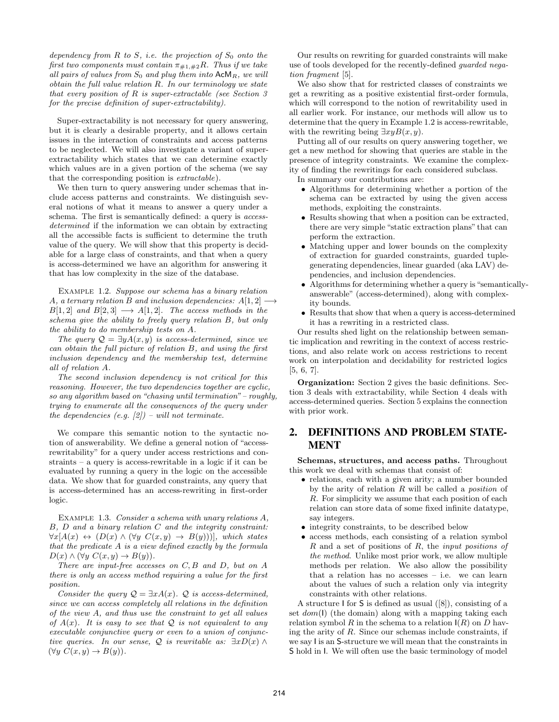dependency from  $R$  to  $S$ , i.e. the projection of  $S_0$  onto the first two components must contain  $\pi_{\#1,\#2}R$ . Thus if we take all pairs of values from  $S_0$  and plug them into  $A c M_R$ , we will  $obtain the full value relation R. In our terminology we state$ that every position of  $R$  is super-extractable (see Section 3) for the precise definition of super-extractability).

Super-extractability is not necessary for query answering, but it is clearly a desirable property, and it allows certain issues in the interaction of constraints and access patterns to be neglected. We will also investigate a variant of superextractability which states that we can determine exactly which values are in a given portion of the schema (we say that the corresponding position is extractable).

We then turn to query answering under schemas that include access patterns and constraints. We distinguish several notions of what it means to answer a query under a schema. The first is semantically defined: a query is accessdetermined if the information we can obtain by extracting all the accessible facts is sufficient to determine the truth value of the query. We will show that this property is decidable for a large class of constraints, and that when a query is access-determined we have an algorithm for answering it that has low complexity in the size of the database.

Example 1.2. Suppose our schema has a binary relation A, a ternary relation B and inclusion dependencies:  $A[1,2] \longrightarrow$  $B[1,2]$  and  $B[2,3] \longrightarrow A[1,2]$ . The access methods in the schema give the ability to freely query relation B, but only the ability to do membership tests on A.

The query  $\mathcal{Q} = \exists y A(x, y)$  is access-determined, since we can obtain the full picture of relation B, and using the first inclusion dependency and the membership test, determine all of relation A.

The second inclusion dependency is not critical for this reasoning. However, the two dependencies together are cyclic, so any algorithm based on "chasing until termination" – roughly, trying to enumerate all the consequences of the query under the dependencies (e.g.  $[2]$ ) – will not terminate.

We compare this semantic notion to the syntactic notion of answerability. We define a general notion of "accessrewritability" for a query under access restrictions and constraints – a query is access-rewritable in a logic if it can be evaluated by running a query in the logic on the accessible data. We show that for guarded constraints, any query that is access-determined has an access-rewriting in first-order logic.

EXAMPLE 1.3. Consider a schema with unary relations A, B, D and a binary relation C and the integrity constraint:  $\forall x[A(x) \leftrightarrow (D(x) \land (\forall y \ C(x,y) \rightarrow B(y)))]$ , which states that the predicate A is a view defined exactly by the formula  $D(x) \wedge (\forall y \; C(x,y) \rightarrow B(y)).$ 

There are input-free accesses on  $C, B$  and  $D$ , but on  $A$ there is only an access method requiring a value for the first position.

Consider the query  $\mathcal{Q} = \exists x A(x)$ .  $\mathcal{Q}$  is access-determined, since we can access completely all relations in the definition of the view A, and thus use the constraint to get all values of  $A(x)$ . It is easy to see that Q is not equivalent to any executable conjunctive query or even to a union of conjunctive queries. In our sense, Q is rewritable as:  $\exists x D(x) \land$  $(\forall y \ C(x, y) \rightarrow B(y)).$ 

Our results on rewriting for guarded constraints will make use of tools developed for the recently-defined guarded negation fragment [5].

We also show that for restricted classes of constraints we get a rewriting as a positive existential first-order formula, which will correspond to the notion of rewritability used in all earlier work. For instance, our methods will allow us to determine that the query in Example 1.2 is access-rewritable, with the rewriting being  $\exists xy B(x,y)$ .

Putting all of our results on query answering together, we get a new method for showing that queries are stable in the presence of integrity constraints. We examine the complexity of finding the rewritings for each considered subclass.

In summary our contributions are:

- Algorithms for determining whether a portion of the schema can be extracted by using the given access methods, exploiting the constraints.
- Results showing that when a position can be extracted, there are very simple "static extraction plans" that can perform the extraction.
- Matching upper and lower bounds on the complexity of extraction for guarded constraints, guarded tuplegenerating dependencies, linear guarded (aka LAV) dependencies, and inclusion dependencies.
- Algorithms for determining whether a query is "semanticallyanswerable" (access-determined), along with complexity bounds.
- Results that show that when a query is access-determined it has a rewriting in a restricted class.

Our results shed light on the relationship between semantic implication and rewriting in the context of access restrictions, and also relate work on access restrictions to recent work on interpolation and decidability for restricted logics [5, 6, 7].

Organization: Section 2 gives the basic definitions. Section 3 deals with extractability, while Section 4 deals with access-determined queries. Section 5 explains the connection with prior work.

## **2. DEFINITIONS AND PROBLEM STATE-MENT**

Schemas, structures, and access paths. Throughout this work we deal with schemas that consist of:

- relations, each with a given arity; a number bounded by the arity of relation  $R$  will be called a *position* of R. For simplicity we assume that each position of each relation can store data of some fixed infinite datatype, say integers.
- integrity constraints, to be described below
- access methods, each consisting of a relation symbol R and a set of positions of R, the input positions of the method. Unlike most prior work, we allow multiple methods per relation. We also allow the possibility that a relation has no accesses – i.e. we can learn about the values of such a relation only via integrity constraints with other relations.

A structure I for S is defined as usual ([8]), consisting of a set  $dom(I)$  (the domain) along with a mapping taking each relation symbol R in the schema to a relation  $I(R)$  on D having the arity of  $R$ . Since our schemas include constraints, if we say I is an S-structure we will mean that the constraints in S hold in I. We will often use the basic terminology of model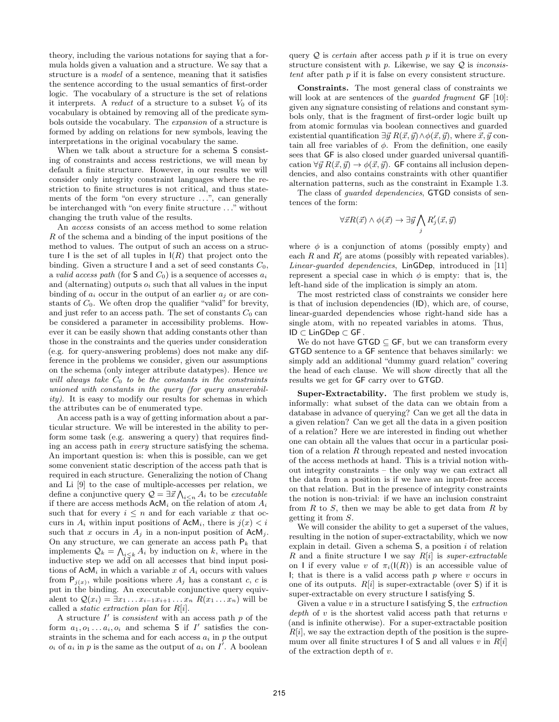theory, including the various notations for saying that a formula holds given a valuation and a structure. We say that a structure is a model of a sentence, meaning that it satisfies the sentence according to the usual semantics of first-order logic. The vocabulary of a structure is the set of relations it interprets. A reduct of a structure to a subset  $V_0$  of its vocabulary is obtained by removing all of the predicate symbols outside the vocabulary. The expansion of a structure is formed by adding on relations for new symbols, leaving the interpretations in the original vocabulary the same.

When we talk about a structure for a schema S consisting of constraints and access restrictions, we will mean by default a finite structure. However, in our results we will consider only integrity constraint languages where the restriction to finite structures is not critical, and thus statements of the form "on every structure ...", can generally be interchanged with "on every finite structure . . ." without changing the truth value of the results.

An access consists of an access method to some relation R of the schema and a binding of the input positions of the method to values. The output of such an access on a structure I is the set of all tuples in  $I(R)$  that project onto the binding. Given a structure I and a set of seed constants  $C_0$ , a valid access path (for  $S$  and  $C_0$ ) is a sequence of accesses  $a_i$ and (alternating) outputs  $o_i$  such that all values in the input binding of  $a_i$  occur in the output of an earlier  $a_i$  or are constants of  $C_0$ . We often drop the qualifier "valid" for brevity, and just refer to an access path. The set of constants  $C_0$  can be considered a parameter in accessibility problems. However it can be easily shown that adding constants other than those in the constraints and the queries under consideration (e.g. for query-answering problems) does not make any difference in the problems we consider, given our assumptions on the schema (only integer attribute datatypes). Hence we will always take  $C_0$  to be the constants in the constraints unioned with constants in the query (for query answerability). It is easy to modify our results for schemas in which the attributes can be of enumerated type.

An access path is a way of getting information about a particular structure. We will be interested in the ability to perform some task (e.g. answering a query) that requires finding an access path in every structure satisfying the schema. An important question is: when this is possible, can we get some convenient static description of the access path that is required in each structure. Generalizing the notion of Chang and Li [9] to the case of multiple-accesses per relation, we define a conjunctive query  $\mathcal{Q} = \exists \vec{x} \bigwedge_{i \leq n} A_i$  to be *executable* if there are access methods  $\mathsf{AcM}_i$  on the relation of atom  $A_i$ such that for every  $i \leq n$  and for each variable x that occurs in  $A_i$  within input positions of  $AcM_i$ , there is  $j(x) < i$ such that x occurs in  $A_j$  in a non-input position of  $AcM_j$ . On any structure, we can generate an access path  $P_k$  that implements  $\mathcal{Q}_k = \bigwedge_{i \leq k} A_i$  by induction on k, where in the inductive step we  $\overline{\text{add}}$  on all accesses that bind input positions of  $AcM_i$  in which a variable x of  $A_i$  occurs with values from  $P_{j(x)}$ , while positions where  $A_j$  has a constant c, c is put in the binding. An executable conjunctive query equivalent to  $\mathcal{Q}(x_i) = \exists x_1 \dots x_{i-1} x_{i+1} \dots x_n R(x_1 \dots x_n)$  will be called a *static extraction plan* for  $R[i]$ .

A structure  $I'$  is *consistent* with an access path  $p$  of the form  $a_1, o_1 \ldots a_i, o_i$  and schema S if I' satisfies the constraints in the schema and for each access  $a_i$  in p the output  $o_i$  of  $a_i$  in p is the same as the output of  $a_i$  on I'. A boolean

query  $Q$  is *certain* after access path p if it is true on every structure consistent with  $p$ . Likewise, we say  $\mathcal{Q}$  is *inconsis*tent after path p if it is false on every consistent structure.

Constraints. The most general class of constraints we will look at are sentences of the *guarded fragment*  $GF$  [10]: given any signature consisting of relations and constant symbols only, that is the fragment of first-order logic built up from atomic formulas via boolean connectives and guarded existential quantification  $\exists \vec{y}~R(\vec{x}, \vec{y}) \wedge \phi(\vec{x}, \vec{y})$ , where  $\vec{x}, \vec{y}$  contain all free variables of  $\phi$ . From the definition, one easily sees that GF is also closed under guarded universal quantification  $\forall \vec{y} \; R(\vec{x}, \vec{y}) \rightarrow \phi(\vec{x}, \vec{y})$ . GF contains all inclusion dependencies, and also contains constraints with other quantifier alternation patterns, such as the constraint in Example 1.3.

The class of *guarded dependencies*, **GTGD** consists of sentences of the form:

$$
\forall \vec{x} R(\vec{x}) \land \phi(\vec{x}) \rightarrow \exists \vec{y} \bigwedge_j R'_j(\vec{x}, \vec{y})
$$

where  $\phi$  is a conjunction of atoms (possibly empty) and each R and  $R'_j$  are atoms (possibly with repeated variables). Linear-guarded dependencies, LinGDep, introduced in [11] represent a special case in which  $\phi$  is empty: that is, the left-hand side of the implication is simply an atom.

The most restricted class of constraints we consider here is that of inclusion dependencies (ID), which are, of course, linear-guarded dependencies whose right-hand side has a single atom, with no repeated variables in atoms. Thus, ID ⊂ LinGDep ⊂ GF .

We do not have  $GTGD \subseteq GF$ , but we can transform every GTGD sentence to a GF sentence that behaves similarly: we simply add an additional "dummy guard relation" covering the head of each clause. We will show directly that all the results we get for GF carry over to GTGD.

Super-Extractability. The first problem we study is, informally: what subset of the data can we obtain from a database in advance of querying? Can we get all the data in a given relation? Can we get all the data in a given position of a relation? Here we are interested in finding out whether one can obtain all the values that occur in a particular position of a relation  $R$  through repeated and nested invocation of the access methods at hand. This is a trivial notion without integrity constraints – the only way we can extract all the data from a position is if we have an input-free access on that relation. But in the presence of integrity constraints the notion is non-trivial: if we have an inclusion constraint from  $R$  to  $S$ , then we may be able to get data from  $R$  by getting it from S.

We will consider the ability to get a superset of the values, resulting in the notion of super-extractability, which we now explain in detail. Given a schema  $S$ , a position i of relation R and a finite structure I we say  $R[i]$  is super-extractable on I if every value v of  $\pi_i(I(R))$  is an accessible value of I; that is there is a valid access path  $p$  where  $v$  occurs in one of its outputs.  $R[i]$  is super-extractable (over S) if it is super-extractable on every structure I satisfying S.

Given a value  $v$  in a structure I satisfying  $S$ , the *extraction* depth of  $v$  is the shortest valid access path that returns  $v$ (and is infinite otherwise). For a super-extractable position  $R[i]$ , we say the extraction depth of the position is the supremum over all finite structures I of S and all values v in  $R[i]$ of the extraction depth of v.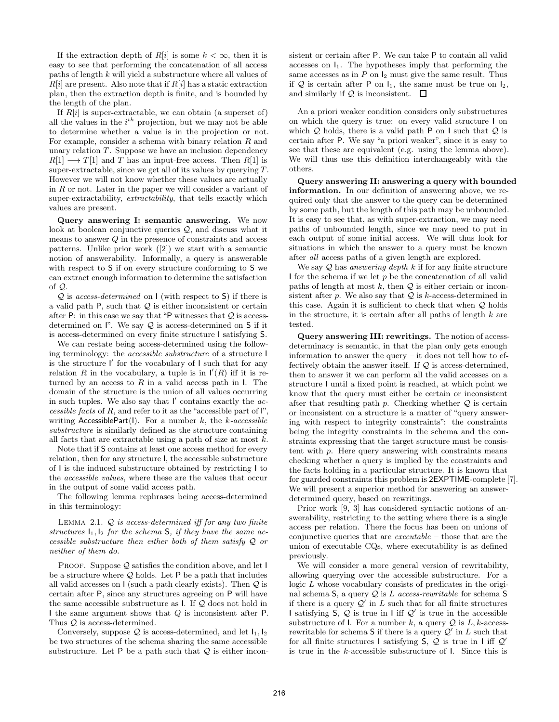If the extraction depth of  $R[i]$  is some  $k < \infty$ , then it is easy to see that performing the concatenation of all access paths of length k will yield a substructure where all values of  $R[i]$  are present. Also note that if  $R[i]$  has a static extraction plan, then the extraction depth is finite, and is bounded by the length of the plan.

If  $R[i]$  is super-extractable, we can obtain (a superset of) all the values in the  $i^{th}$  projection, but we may not be able to determine whether a value is in the projection or not. For example, consider a schema with binary relation  $R$  and unary relation  $T$ . Suppose we have an inclusion dependency  $R[1] \longrightarrow T[1]$  and T has an input-free access. Then  $R[1]$  is super-extractable, since we get all of its values by querying  $T$ . However we will not know whether these values are actually in  $R$  or not. Later in the paper we will consider a variant of super-extractability, *extractability*, that tells exactly which values are present.

Query answering I: semantic answering. We now look at boolean conjunctive queries Q, and discuss what it means to answer  $Q$  in the presence of constraints and access patterns. Unlike prior work ([2]) we start with a semantic notion of answerability. Informally, a query is answerable with respect to S if on every structure conforming to S we can extract enough information to determine the satisfaction of Q.

 $Q$  is access-determined on I (with respect to S) if there is a valid path  $P$ , such that  $Q$  is either inconsistent or certain after  $P$ : in this case we say that "P witnesses that  $Q$  is accessdetermined on  $\mathsf{I}$ ". We say  $\mathcal Q$  is access-determined on  $\mathsf S$  if it is access-determined on every finite structure I satisfying S.

We can restate being access-determined using the following terminology: the *accessible substructure* of a structure I is the structure I ′ for the vocabulary of I such that for any relation R in the vocabulary, a tuple is in  $\mathsf{I}'(R)$  iff it is returned by an access to  $R$  in a valid access path in  $\mathsf{I}$ . The domain of the structure is the union of all values occurring in such tuples. We also say that  $I'$  contains exactly the  $ac$ cessible facts of  $R$ , and refer to it as the "accessible part of  $\mathsf{I}$ ", writing AccessiblePart(I). For a number  $k$ , the  $k$ -accessible substructure is similarly defined as the structure containing all facts that are extractable using a path of size at most  $k$ .

Note that if S contains at least one access method for every relation, then for any structure I, the accessible substructure of I is the induced substructure obtained by restricting I to the accessible values, where these are the values that occur in the output of some valid access path.

The following lemma rephrases being access-determined in this terminology:

LEMMA 2.1.  $Q$  is access-determined iff for any two finite structures  $I_1, I_2$  for the schema S, if they have the same accessible substructure then either both of them satisfy Q or neither of them do.

PROOF. Suppose  $Q$  satisfies the condition above, and let I be a structure where  $Q$  holds. Let P be a path that includes all valid accesses on  $\mathsf{I}$  (such a path clearly exists). Then  $\mathcal{Q}$  is certain after P, since any structures agreeing on P will have the same accessible substructure as  $I$ . If  $Q$  does not hold in I the same argument shows that Q is inconsistent after P. Thus  $Q$  is access-determined.

Conversely, suppose  $\mathcal Q$  is access-determined, and let  $I_1, I_2$ be two structures of the schema sharing the same accessible substructure. Let  $P$  be a path such that  $Q$  is either inconsistent or certain after P. We can take P to contain all valid accesses on  $I_1$ . The hypotheses imply that performing the same accesses as in  $P$  on  $I_2$  must give the same result. Thus if  $Q$  is certain after P on  $I_1$ , the same must be true on  $I_2$ , and similarly if  $\mathcal Q$  is inconsistent.  $\Box$ 

An a priori weaker condition considers only substructures on which the query is true: on every valid structure I on which  $Q$  holds, there is a valid path  $P$  on I such that  $Q$  is certain after P. We say "a priori weaker", since it is easy to see that these are equivalent (e.g. using the lemma above). We will thus use this definition interchangeably with the others.

Query answering II: answering a query with bounded information. In our definition of answering above, we required only that the answer to the query can be determined by some path, but the length of this path may be unbounded. It is easy to see that, as with super-extraction, we may need paths of unbounded length, since we may need to put in each output of some initial access. We will thus look for situations in which the answer to a query must be known after all access paths of a given length are explored.

We say  $Q$  has answering depth  $k$  if for any finite structure I for the schema if we let  $p$  be the concatenation of all valid paths of length at most  $k$ , then  $Q$  is either certain or inconsistent after  $p$ . We also say that  $Q$  is  $k$ -access-determined in this case. Again it is sufficient to check that when Q holds in the structure, it is certain after all paths of length  $k$  are tested.

Query answering III: rewritings. The notion of accessdeterminacy is semantic, in that the plan only gets enough information to answer the query – it does not tell how to effectively obtain the answer itself. If  $Q$  is access-determined, then to answer it we can perform all the valid accesses on a structure I until a fixed point is reached, at which point we know that the query must either be certain or inconsistent after that resulting path  $p$ . Checking whether  $Q$  is certain or inconsistent on a structure is a matter of "query answering with respect to integrity constraints": the constraints being the integrity constraints in the schema and the constraints expressing that the target structure must be consistent with  $p$ . Here query answering with constraints means checking whether a query is implied by the constraints and the facts holding in a particular structure. It is known that for guarded constraints this problem is 2EXPTIME-complete [7]. We will present a superior method for answering an answerdetermined query, based on rewritings.

Prior work [9, 3] has considered syntactic notions of answerability, restricting to the setting where there is a single access per relation. There the focus has been on unions of conjunctive queries that are executable – those that are the union of executable CQs, where executability is as defined previously.

We will consider a more general version of rewritability, allowing querying over the accessible substructure. For a logic L whose vocabulary consists of predicates in the original schema S, a query  $Q$  is L access-rewritable for schema S if there is a query  $\mathcal{Q}'$  in L such that for all finite structures I satisfying  $S$ ,  $Q$  is true in I iff  $Q'$  is true in the accessible substructure of l. For a number k, a query  $\mathcal Q$  is L, k-accessrewritable for schema S if there is a query  $\mathcal{Q}'$  in L such that for all finite structures I satisfying  $S$ ,  $Q$  is true in I iff  $Q'$ is true in the k-accessible substructure of I. Since this is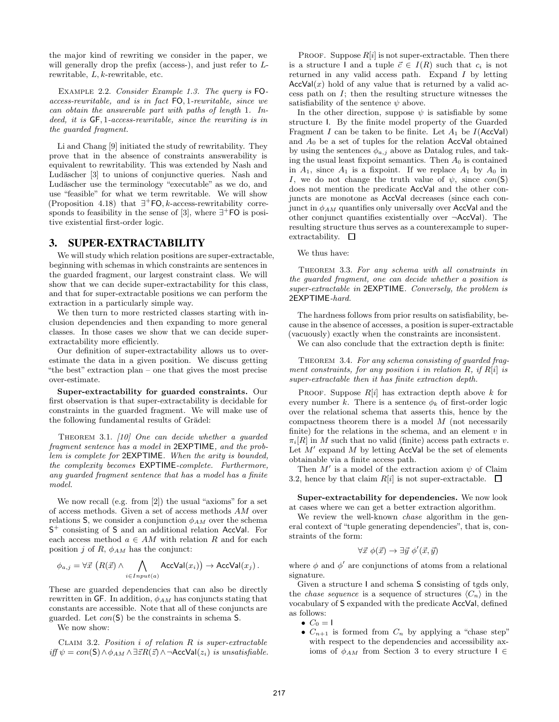the major kind of rewriting we consider in the paper, we will generally drop the prefix (access-), and just refer to  $L$ rewritable,  $L, k$ -rewritable, etc.

Example 2.2. Consider Example 1.3. The query is FOaccess-rewritable, and is in fact FO, 1-rewritable, since we can obtain the answerable part with paths of length 1. Indeed, it is GF, 1-access-rewritable, since the rewriting is in the guarded fragment.

Li and Chang [9] initiated the study of rewritability. They prove that in the absence of constraints answerability is equivalent to rewritability. This was extended by Nash and Ludäscher [3] to unions of conjunctive queries. Nash and Ludäscher use the terminology "executable" as we do, and use "feasible" for what we term rewritable. We will show (Proposition 4.18) that  $\exists^+$  FO, k-access-rewritability corresponds to feasibility in the sense of [3], where  $\exists^+$  FO is positive existential first-order logic.

#### **3. SUPER-EXTRACTABILITY**

We will study which relation positions are super-extractable, beginning with schemas in which constraints are sentences in the guarded fragment, our largest constraint class. We will show that we can decide super-extractability for this class, and that for super-extractable positions we can perform the extraction in a particularly simple way.

We then turn to more restricted classes starting with inclusion dependencies and then expanding to more general classes. In those cases we show that we can decide superextractability more efficiently.

Our definition of super-extractability allows us to overestimate the data in a given position. We discuss getting "the best" extraction plan – one that gives the most precise over-estimate.

Super-extractability for guarded constraints. Our first observation is that super-extractability is decidable for constraints in the guarded fragment. We will make use of the following fundamental results of Grädel:

Theorem 3.1. [10] One can decide whether a guarded fragment sentence has a model in 2EXPTIME, and the problem is complete for 2EXPTIME. When the arity is bounded, the complexity becomes EXPTIME-complete. Furthermore, any guarded fragment sentence that has a model has a finite model.

We now recall (e.g. from [2]) the usual "axioms" for a set of access methods. Given a set of access methods AM over relations S, we consider a conjunction  $\phi_{AM}$  over the schema S <sup>+</sup> consisting of S and an additional relation AccVal. For each access method  $a \in AM$  with relation R and for each position j of R,  $\phi_{AM}$  has the conjunct:

$$
\phi_{a,j} = \forall \vec{x} \left( R(\vec{x}) \land \bigwedge_{i \in Input(a)} AccVal(x_i) \right) \to AccVal(x_j) .
$$

These are guarded dependencies that can also be directly rewritten in GF. In addition,  $\phi_{AM}$  has conjuncts stating that constants are accessible. Note that all of these conjuncts are guarded. Let  $con(S)$  be the constraints in schema S.

We now show:

CLAIM 3.2. Position  $i$  of relation  $R$  is super-extractable  $iff \psi = con(S) \wedge \phi_{AM} \wedge \exists \vec{z} R(\vec{z}) \wedge \neg AccVal(z_i)$  is unsatisfiable.

PROOF. Suppose  $R[i]$  is not super-extractable. Then there is a structure I and a tuple  $\vec{c} \in I(R)$  such that  $c_i$  is not returned in any valid access path. Expand I by letting  $AccVal(x)$  hold of any value that is returned by a valid access path on I; then the resulting structure witnesses the satisfiability of the sentence  $\psi$  above.

In the other direction, suppose  $\psi$  is satisfiable by some structure I. By the finite model property of the Guarded Fragment I can be taken to be finite. Let  $A_1$  be  $I(\text{AccVal})$ and  $A_0$  be a set of tuples for the relation AccVal obtained by using the sentences  $\phi_{a,j}$  above as Datalog rules, and taking the usual least fixpoint semantics. Then  $A_0$  is contained in  $A_1$ , since  $A_1$  is a fixpoint. If we replace  $A_1$  by  $A_0$  in I, we do not change the truth value of  $\psi$ , since  $con(S)$ does not mention the predicate AccVal and the other conjuncts are monotone as AccVal decreases (since each conjunct in  $\phi_{AM}$  quantifies only universally over AccVal and the other conjunct quantifies existentially over ¬AccVal). The resulting structure thus serves as a counterexample to superextractability.  $\square$ 

We thus have:

THEOREM 3.3. For any schema with all constraints in the guarded fragment, one can decide whether a position is super-extractable in 2EXPTIME. Conversely, the problem is 2EXPTIME-hard.

The hardness follows from prior results on satisfiability, because in the absence of accesses, a position is super-extractable (vacuously) exactly when the constraints are inconsistent.

We can also conclude that the extraction depth is finite:

THEOREM 3.4. For any schema consisting of guarded fragment constraints, for any position i in relation  $R$ , if  $R[i]$  is super-extractable then it has finite extraction depth.

PROOF. Suppose  $R[i]$  has extraction depth above k for every number k. There is a sentence  $\phi_k$  of first-order logic over the relational schema that asserts this, hence by the compactness theorem there is a model M (not necessarily finite) for the relations in the schema, and an element  $v$  in  $\pi_i[R]$  in M such that no valid (finite) access path extracts v. Let  $M'$  expand  $M$  by letting AccVal be the set of elements obtainable via a finite access path.

Then  $M'$  is a model of the extraction axiom  $\psi$  of Claim 3.2, hence by that claim  $R[i]$  is not super-extractable.  $\square$ 

Super-extractability for dependencies. We now look at cases where we can get a better extraction algorithm.

We review the well-known *chase* algorithm in the general context of "tuple generating dependencies", that is, constraints of the form:

$$
\forall \vec{x} \; \phi(\vec{x}) \rightarrow \exists \vec{y} \; \phi'(\vec{x}, \vec{y})
$$

where  $\phi$  and  $\phi'$  are conjunctions of atoms from a relational signature.

Given a structure I and schema S consisting of tgds only, the *chase sequence* is a sequence of structures  $\langle C_n \rangle$  in the vocabulary of S expanded with the predicate AccVal, defined as follows:

- $\bullet \, C_0 = 1$
- $C_{n+1}$  is formed from  $C_n$  by applying a "chase step" with respect to the dependencies and accessibility axioms of  $\phi_{AM}$  from Section 3 to every structure  $I \in$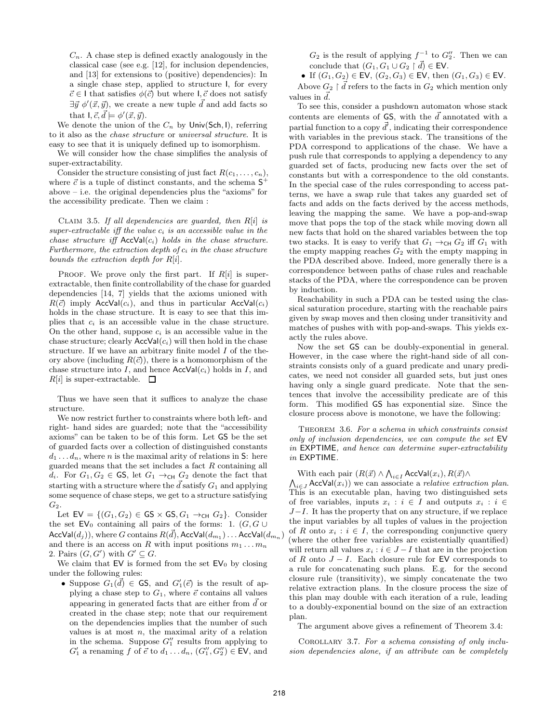$C_n$ . A chase step is defined exactly analogously in the classical case (see e.g. [12], for inclusion dependencies, and [13] for extensions to (positive) dependencies): In a single chase step, applied to structure I, for every  $\vec{c} \in I$  that satisfies  $\phi(\vec{c})$  but where  $I, \vec{c}$  does not satisfy  $\exists \vec{y} \phi'(\vec{x}, \vec{y})$ , we create a new tuple  $\vec{d}$  and add facts so that  $I, \vec{c}, \vec{d} \models \phi'(\vec{x}, \vec{y}).$ 

We denote the union of the  $C_n$  by Univ(Sch, I), referring to it also as the chase structure or universal structure. It is easy to see that it is uniquely defined up to isomorphism.

We will consider how the chase simplifies the analysis of super-extractability.

Consider the structure consisting of just fact  $R(c_1, \ldots, c_n)$ , where  $\vec{c}$  is a tuple of distinct constants, and the schema  $S^+$ above – i.e. the original dependencies plus the "axioms" for the accessibility predicate. Then we claim :

CLAIM 3.5. If all dependencies are guarded, then  $R[i]$  is super-extractable iff the value  $c_i$  is an accessible value in the chase structure iff  $AccVal(c_i)$  holds in the chase structure. Furthermore, the extraction depth of  $c_i$  in the chase structure bounds the extraction depth for  $R[i]$ .

PROOF. We prove only the first part. If  $R[i]$  is superextractable, then finite controllability of the chase for guarded dependencies [14, 7] yields that the axioms unioned with  $R(\vec{c})$  imply AccVal(c<sub>i</sub>), and thus in particular AccVal(c<sub>i</sub>) holds in the chase structure. It is easy to see that this implies that  $c_i$  is an accessible value in the chase structure. On the other hand, suppose  $c_i$  is an accessible value in the chase structure; clearly  $AccVal(c_i)$  will then hold in the chase structure. If we have an arbitrary finite model  $I$  of the theory above (including  $R(\vec{c})$ ), there is a homomorphism of the chase structure into I, and hence  $AccVal(c_i)$  holds in I, and  $R[i]$  is super-extractable.  $\Box$ 

Thus we have seen that it suffices to analyze the chase structure.

We now restrict further to constraints where both left- and right- hand sides are guarded; note that the "accessibility axioms" can be taken to be of this form. Let GS be the set of guarded facts over a collection of distinguished constants  $d_1 \ldots d_n$ , where *n* is the maximal arity of relations in S: here guarded means that the set includes a fact  $R$  containing all  $d_i$ . For  $G_1, G_2 \in$  GS, let  $G_1 \rightarrow_{\text{CH}} G_2$  denote the fact that starting with a structure where the  $\vec{d}$  satisfy  $G_1$  and applying some sequence of chase steps, we get to a structure satisfying  $G_2$ .

Let  $EV = \{(G_1, G_2) \in GS \times GS, G_1 \rightarrow_{CH} G_2\}$ . Consider the set  $EV_0$  containing all pairs of the forms: 1.  $(G, G \cup$ AccVal $(d_j))$ , where  $G$  contains  $R(\vec{d})$ , AccVal $(d_{m_1})$  . . . AccVal $(d_{m_n})$ and there is an access on R with input positions  $m_1 \ldots m_n$ 2. Pairs  $(G, G')$  with  $G' \subseteq G$ .

We claim that  $EV$  is formed from the set  $EV_0$  by closing under the following rules:

• Suppose  $G_1(\vec{d}) \in \mathsf{GS}$ , and  $G'_1(\vec{e})$  is the result of applying a chase step to  $G_1$ , where  $\vec{e}$  contains all values appearing in generated facts that are either from  $\vec{d}$  or created in the chase step; note that our requirement on the dependencies implies that the number of such values is at most  $n$ , the maximal arity of a relation in the schema. Suppose  $G''_1$  results from applying to  $G'_1$  a renaming f of  $\vec{e}$  to  $d_1 \ldots d_n$ ,  $(G''_1, G''_2) \in \text{EV}$ , and

 $G_2$  is the result of applying  $f^{-1}$  to  $G''_2$ . Then we can conclude that  $(G_1, G_1 \cup G_2 \restriction \vec{d}) \in \text{EV}.$ 

• If  $(G_1, G_2) \in \text{EV}, (G_2, G_3) \in \text{EV}, \text{ then } (G_1, G_3) \in \text{EV}.$ Above  $G_2 \upharpoonright \vec{d}$  refers to the facts in  $G_2$  which mention only values in  $\vec{d}$ .

To see this, consider a pushdown automaton whose stack contents are elements of GS, with the  $\vec{d}$  annotated with a partial function to a copy  $\vec{d'}$ , indicating their correspondence with variables in the previous stack. The transitions of the PDA correspond to applications of the chase. We have a push rule that corresponds to applying a dependency to any guarded set of facts, producing new facts over the set of constants but with a correspondence to the old constants. In the special case of the rules corresponding to access patterns, we have a swap rule that takes any guarded set of facts and adds on the facts derived by the access methods, leaving the mapping the same. We have a pop-and-swap move that pops the top of the stack while moving down all new facts that hold on the shared variables between the top two stacks. It is easy to verify that  $G_1 \rightarrow_{\text{CH}} G_2$  iff  $G_1$  with the empty mapping reaches  $G_2$  with the empty mapping in the PDA described above. Indeed, more generally there is a correspondence between paths of chase rules and reachable stacks of the PDA, where the correspondence can be proven by induction.

Reachability in such a PDA can be tested using the classical saturation procedure, starting with the reachable pairs given by swap moves and then closing under transitivity and matches of pushes with with pop-and-swaps. This yields exactly the rules above.

Now the set GS can be doubly-exponential in general. However, in the case where the right-hand side of all constraints consists only of a guard predicate and unary predicates, we need not consider all guarded sets, but just ones having only a single guard predicate. Note that the sentences that involve the accessibility predicate are of this form. This modified GS has exponential size. Since the closure process above is monotone, we have the following:

Theorem 3.6. For a schema in which constraints consist only of inclusion dependencies, we can compute the set EV in EXPTIME, and hence can determine super-extractability in EXPTIME.

With each pair  $(R(\vec{x}) \wedge \bigwedge_{i \in I} \text{AccVal}(x_i), R(\vec{x}) \wedge \bigwedge_{i \in J} \text{AccVal}(x_i)$  we can associate a *relative extraction plan.* This is an executable plan, having two distinguished sets of free variables, inputs  $x_i : i \in I$  and outputs  $x_i : i \in I$  $J-I$ . It has the property that on any structure, if we replace the input variables by all tuples of values in the projection of R onto  $x_i : i \in I$ , the corresponding conjunctive query (where the other free variables are existentially quantified) will return all values  $x_i : i \in J - I$  that are in the projection of R onto  $J - I$ . Each closure rule for EV corresponds to a rule for concatenating such plans. E.g. for the second closure rule (transitivity), we simply concatenate the two relative extraction plans. In the closure process the size of this plan may double with each iteration of a rule, leading to a doubly-exponential bound on the size of an extraction plan.

The argument above gives a refinement of Theorem 3.4:

Corollary 3.7. For a schema consisting of only inclusion dependencies alone, if an attribute can be completely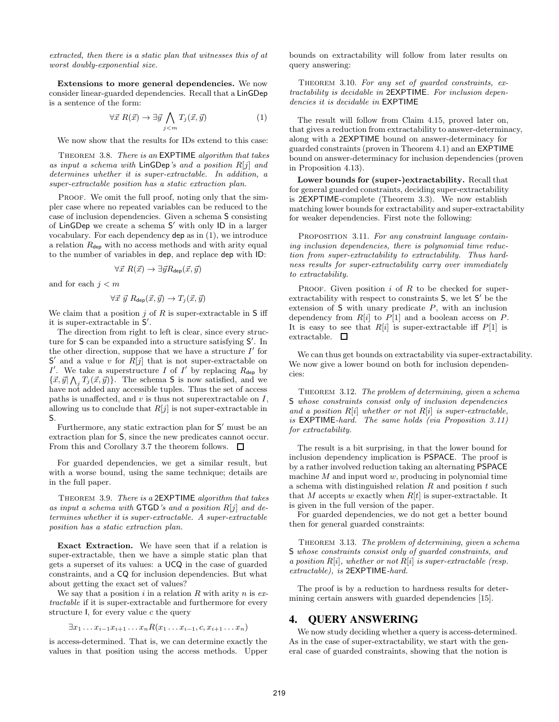extracted, then there is a static plan that witnesses this of at worst doubly-exponential size.

Extensions to more general dependencies. We now consider linear-guarded dependencies. Recall that a LinGDep is a sentence of the form:

$$
\forall \vec{x} \; R(\vec{x}) \to \exists \vec{y} \bigwedge_{j < m} T_j(\vec{x}, \vec{y}) \tag{1}
$$

We now show that the results for IDs extend to this case:

THEOREM 3.8. There is an EXPTIME algorithm that takes as input a schema with  $\textsf{LinGDep's}$  and a position  $R[j]$  and determines whether it is super-extractable. In addition, a super-extractable position has a static extraction plan.

PROOF. We omit the full proof, noting only that the simpler case where no repeated variables can be reduced to the case of inclusion dependencies. Given a schema S consisting of LinGDep we create a schema S ′ with only ID in a larger vocabulary. For each dependency dep as in (1), we introduce a relation  $R_{\text{dep}}$  with no access methods and with arity equal to the number of variables in dep, and replace dep with ID:

$$
\forall \vec{x} \; R(\vec{x}) \rightarrow \exists \vec{y} R_{\text{dep}}(\vec{x}, \vec{y})
$$

and for each  $j < m$ 

$$
\forall \vec{x} \ \vec{y} \ R_{\text{dep}}(\vec{x}, \vec{y}) \rightarrow T_j(\vec{x}, \vec{y})
$$

We claim that a position  $j$  of  $R$  is super-extractable in  $S$  iff it is super-extractable in  $S'$ .

The direction from right to left is clear, since every structure for S can be expanded into a structure satisfying S'. In the other direction, suppose that we have a structure  $I'$  for  $S'$  and a value v for  $R[j]$  that is not super-extractable on I'. We take a superstructure I of I' by replacing  $R_{\text{dep}}$  by  $\{\vec{x}, \vec{y} | \bigwedge_j T_j(\vec{x}, \vec{y})\}.$  The schema S is now satisfied, and we have not added any accessible tuples. Thus the set of access paths is unaffected, and  $v$  is thus not superextractable on  $I$ , allowing us to conclude that  $R[j]$  is not super-extractable in S.

Furthermore, any static extraction plan for  $S'$  must be an extraction plan for S, since the new predicates cannot occur. From this and Corollary 3.7 the theorem follows.  $\Box$ 

For guarded dependencies, we get a similar result, but with a worse bound, using the same technique; details are in the full paper.

THEOREM 3.9. There is a 2EXPTIME algorithm that takes as input a schema with  $GTGD$ 's and a position  $R[j]$  and determines whether it is super-extractable. A super-extractable position has a static extraction plan.

Exact Extraction. We have seen that if a relation is super-extractable, then we have a simple static plan that gets a superset of its values: a UCQ in the case of guarded constraints, and a CQ for inclusion dependencies. But what about getting the exact set of values?

We say that a position i in a relation R with arity n is  $ex$ tractable if it is super-extractable and furthermore for every structure  $\mathsf{I}$ , for every value c the query

$$
\exists x_1 \ldots x_{i-1} x_{i+1} \ldots x_n R(x_1 \ldots x_{i-1}, c, x_{i+1} \ldots x_n)
$$

is access-determined. That is, we can determine exactly the values in that position using the access methods. Upper

bounds on extractability will follow from later results on query answering:

THEOREM 3.10. For any set of guarded constraints, extractability is decidable in 2EXPTIME. For inclusion dependencies it is decidable in EXPTIME

The result will follow from Claim 4.15, proved later on, that gives a reduction from extractability to answer-determinacy, along with a 2EXPTIME bound on answer-determinacy for guarded constraints (proven in Theorem 4.1) and an EXPTIME bound on answer-determinacy for inclusion dependencies (proven in Proposition 4.13).

Lower bounds for (super-)extractability. Recall that for general guarded constraints, deciding super-extractability is 2EXPTIME-complete (Theorem 3.3). We now establish matching lower bounds for extractability and super-extractability for weaker dependencies. First note the following:

PROPOSITION 3.11. For any constraint language containing inclusion dependencies, there is polynomial time reduction from super-extractability to extractability. Thus hardness results for super-extractability carry over immediately to extractability.

PROOF. Given position  $i$  of  $R$  to be checked for superextractability with respect to constraints S, we let S' be the extension of  $S$  with unary predicate  $P$ , with an inclusion dependency from  $R[i]$  to  $P[1]$  and a boolean access on  $P$ . It is easy to see that  $R[i]$  is super-extractable iff  $P[1]$  is extractable.  $\square$ 

We can thus get bounds on extractability via super-extractability. We now give a lower bound on both for inclusion dependencies:

THEOREM 3.12. The problem of determining, given a schema S whose constraints consist only of inclusion dependencies and a position  $R[i]$  whether or not  $R[i]$  is super-extractable, is EXPTIME-hard. The same holds (via Proposition 3.11) for extractability.

The result is a bit surprising, in that the lower bound for inclusion dependency implication is PSPACE. The proof is by a rather involved reduction taking an alternating PSPACE machine  $M$  and input word  $w$ , producing in polynomial time a schema with distinguished relation  $R$  and position  $t$  such that M accepts w exactly when  $R[t]$  is super-extractable. It is given in the full version of the paper.

For guarded dependencies, we do not get a better bound then for general guarded constraints:

THEOREM 3.13. The problem of determining, given a schema S whose constraints consist only of guarded constraints, and a position  $R[i]$ , whether or not  $R[i]$  is super-extractable (resp. extractable), is 2EXPTIME-hard.

The proof is by a reduction to hardness results for determining certain answers with guarded dependencies [15].

#### **4. QUERY ANSWERING**

We now study deciding whether a query is access-determined. As in the case of super-extractability, we start with the general case of guarded constraints, showing that the notion is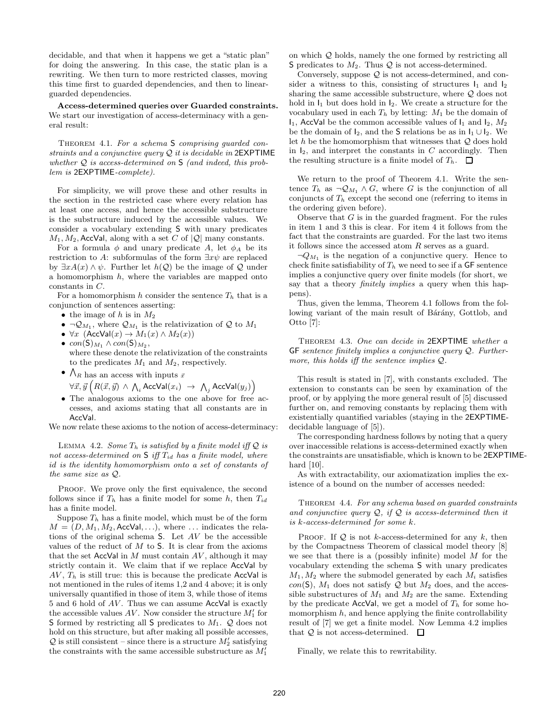decidable, and that when it happens we get a "static plan" for doing the answering. In this case, the static plan is a rewriting. We then turn to more restricted classes, moving this time first to guarded dependencies, and then to linearguarded dependencies.

Access-determined queries over Guarded constraints. We start our investigation of access-determinacy with a general result:

THEOREM 4.1. For a schema S comprising guarded constraints and a conjunctive query  $\mathcal Q$  it is decidable in 2EXPTIME whether  $Q$  is access-determined on S (and indeed, this problem is 2EXPTIME-complete).

For simplicity, we will prove these and other results in the section in the restricted case where every relation has at least one access, and hence the accessible substructure is the substructure induced by the accessible values. We consider a vocabulary extending S with unary predicates  $M_1, M_2$ , AccVal, along with a set C of  $|Q|$  many constants.

For a formula  $\phi$  and unary predicate A, let  $\phi_A$  be its restriction to A: subformulas of the form  $\exists x \psi$  are replaced by  $\exists x A(x) \land \psi$ . Further let  $h(Q)$  be the image of Q under a homomorphism  $h$ , where the variables are mapped onto constants in C.

For a homomorphism h consider the sentence  $T_h$  that is a conjunction of sentences asserting:

- the image of h is in  $M_2$
- $\neg \mathcal{Q}_{M_1}$ , where  $\mathcal{Q}_{M_1}$  is the relativization of  $\mathcal{Q}$  to  $M_1$
- $\forall x \ (\text{AccVal}(x) \to M_1(x) \land M_2(x))$ •  $con(S)_{M_1} \wedge con(S)_{M_2},$ where these denote the relativization of the constraints to the predicates  $M_1$  and  $M_2$ , respectively.
- $\bigwedge_R$  has an access with inputs  $\vec{x}$  $\forall \vec{x}, \vec{y} \left( R(\vec{x},\vec{y}) \, \wedge \, \bigwedge_i \mathsf{AccVal}(x_i) \; \rightarrow \; \bigwedge_j \mathsf{AccVal}(y_j) \right)$
- The analogous axioms to the one above for free accesses, and axioms stating that all constants are in AccVal.

We now relate these axioms to the notion of access-determinacy:

LEMMA 4.2. Some  $T_h$  is satisfied by a finite model iff  $Q$  is not access-determined on  $S$  iff  $T_{id}$  has a finite model, where id is the identity homomorphism onto a set of constants of the same size as Q.

PROOF. We prove only the first equivalence, the second follows since if  $T_h$  has a finite model for some h, then  $T_{id}$ has a finite model.

Suppose  $T_h$  has a finite model, which must be of the form  $M = (D, M_1, M_2, \text{AccVal}, \ldots)$ , where  $\ldots$  indicates the relations of the original schema S. Let AV be the accessible values of the reduct of  $M$  to  $S$ . It is clear from the axioms that the set  $AccVal$  in M must contain  $AV$ , although it may strictly contain it. We claim that if we replace AccVal by  $AV$ ,  $T<sub>h</sub>$  is still true: this is because the predicate AccVal is not mentioned in the rules of items 1,2 and 4 above; it is only universally quantified in those of item 3, while those of items 5 and 6 hold of  $AV$ . Thus we can assume  $AccVal$  is exactly the accessible values  $AV$ . Now consider the structure  $M'_1$  for S formed by restricting all S predicates to  $M_1$ . Q does not hold on this structure, but after making all possible accesses,  $Q$  is still consistent – since there is a structure  $M'_2$  satisfying the constraints with the same accessible substructure as  $M'_1$ 

on which Q holds, namely the one formed by restricting all S predicates to  $M_2$ . Thus  $\mathcal Q$  is not access-determined.

Conversely, suppose  $\mathcal Q$  is not access-determined, and consider a witness to this, consisting of structures  $I_1$  and  $I_2$ sharing the same accessible substructure, where Q does not hold in  $I_1$  but does hold in  $I_2$ . We create a structure for the vocabulary used in each  $T_h$  by letting:  $M_1$  be the domain of  $I_1$ , AccVal be the common accessible values of  $I_1$  and  $I_2$ ,  $M_2$ be the domain of  $I_2$ , and the S relations be as in  $I_1 \cup I_2$ . We let  $h$  be the homomorphism that witnesses that  $Q$  does hold in  $I_2$ , and interpret the constants in C accordingly. Then the resulting structure is a finite model of  $T_h$ .  $\Box$ 

We return to the proof of Theorem 4.1. Write the sentence  $T_h$  as  $\neg \mathcal{Q}_{M_1} \wedge G$ , where G is the conjunction of all conjuncts of  $T_h$  except the second one (referring to items in the ordering given before).

Observe that  $G$  is in the guarded fragment. For the rules in item 1 and 3 this is clear. For item 4 it follows from the fact that the constraints are guarded. For the last two items it follows since the accessed atom  $R$  serves as a guard.

 $\neg Q_{M_1}$  is the negation of a conjunctive query. Hence to check finite satisfiability of  $T_h$  we need to see if a GF sentence implies a conjunctive query over finite models (for short, we say that a theory *finitely implies* a query when this happens).

Thus, given the lemma, Theorem 4.1 follows from the following variant of the main result of Bárány, Gottlob, and Otto [7]:

THEOREM 4.3. One can decide in 2EXPTIME whether a  $GF$  sentence finitely implies a conjunctive query  $Q$ . Furthermore, this holds iff the sentence implies Q.

This result is stated in [7], with constants excluded. The extension to constants can be seen by examination of the proof, or by applying the more general result of [5] discussed further on, and removing constants by replacing them with existentially quantified variables (staying in the 2EXPTIMEdecidable language of [5]).

The corresponding hardness follows by noting that a query over inaccessible relations is access-determined exactly when the constraints are unsatisfiable, which is known to be 2EXPTIMEhard [10].

As with extractability, our axiomatization implies the existence of a bound on the number of accesses needed:

THEOREM 4.4. For any schema based on quarded constraints and conjunctive query  $Q$ , if  $Q$  is access-determined then it is k-access-determined for some k.

PROOF. If  $Q$  is not k-access-determined for any k, then by the Compactness Theorem of classical model theory [8] we see that there is a (possibly infinite) model  $M$  for the vocabulary extending the schema S with unary predicates  $M_1, M_2$  where the submodel generated by each  $M_i$  satisfies con(S),  $M_1$  does not satisfy Q but  $M_2$  does, and the accessible substructures of  $M_1$  and  $M_2$  are the same. Extending by the predicate AccVal, we get a model of  $T<sub>h</sub>$  for some homomorphism  $h$ , and hence applying the finite controllability result of [7] we get a finite model. Now Lemma 4.2 implies that  $Q$  is not access-determined.  $\Box$ 

Finally, we relate this to rewritability.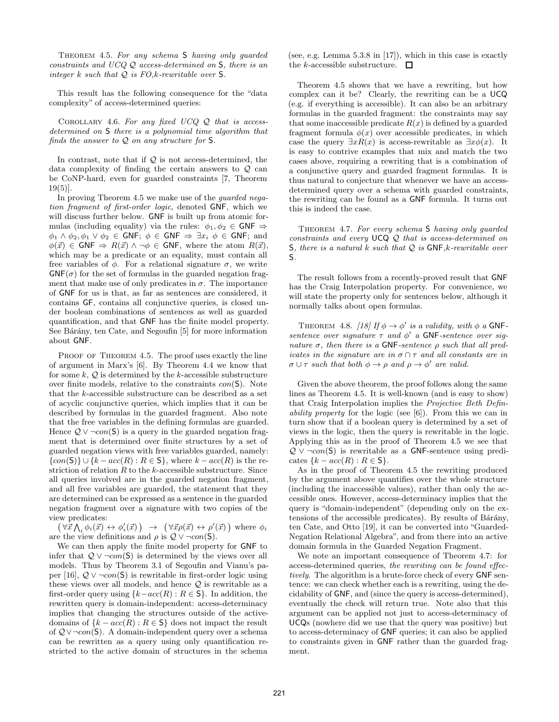Theorem 4.5. For any schema S having only guarded constraints and  $UCQQ$  access-determined on  $S$ , there is an integer  $k$  such that  $Q$  is  $FO,k$ -rewritable over  $S$ .

This result has the following consequence for the "data complexity" of access-determined queries:

COROLLARY 4.6. For any fixed  $UCQQ$  that is accessdetermined on S there is a polynomial time algorithm that finds the answer to  $Q$  on any structure for  $S$ .

In contrast, note that if  $Q$  is not access-determined, the data complexity of finding the certain answers to  $Q$  can be CoNP-hard, even for guarded constraints [7, Theorem  $19(5)$ .

In proving Theorem 4.5 we make use of the *guarded nega*tion fragment of first-order logic, denoted GNF, which we will discuss further below. GNF is built up from atomic formulas (including equality) via the rules:  $\phi_1, \phi_2 \in$  GNF  $\Rightarrow$  $\phi_1 \wedge \phi_2, \phi_1 \vee \phi_2 \in GNF; \ \phi \in GNF \Rightarrow \exists x_i \ \phi \in GNF; \text{ and }$  $\phi(\vec{x}) \in {\sf GNF} \Rightarrow R(\vec{x}) \wedge \neg \phi \in {\sf GNF}$ , where the atom  $R(\vec{x})$ , which may be a predicate or an equality, must contain all free variables of  $\phi$ . For a relational signature  $\sigma$ , we write  $GNF(\sigma)$  for the set of formulas in the guarded negation fragment that make use of only predicates in  $\sigma$ . The importance of GNF for us is that, as far as sentences are considered, it contains GF, contains all conjunctive queries, is closed under boolean combinations of sentences as well as guarded quantification, and that GNF has the finite model property. See Bárány, ten Cate, and Segoufin [5] for more information about GNF.

PROOF OF THEOREM 4.5. The proof uses exactly the line of argument in Marx's [6]. By Theorem 4.4 we know that for some  $k, Q$  is determined by the k-accessible substructure over finite models, relative to the constraints con(S). Note that the k-accessible substructure can be described as a set of acyclic conjunctive queries, which implies that it can be described by formulas in the guarded fragment. Also note that the free variables in the defining formulas are guarded. Hence  $\mathcal{Q} \vee \neg con(\mathsf{S})$  is a query in the guarded negation fragment that is determined over finite structures by a set of guarded negation views with free variables guarded, namely:  $\{con(S)\}\cup\{k - acc(R) : R \in S\}$ , where  $k - acc(R)$  is the restriction of relation  $R$  to the  $k$ -accessible substructure. Since all queries involved are in the guarded negation fragment, and all free variables are guarded, the statement that they are determined can be expressed as a sentence in the guarded negation fragment over a signature with two copies of the view predicates:

 $(\forall \vec{x} \bigwedge_i \phi_i(\vec{x}) \leftrightarrow \phi'_i(\vec{x})) \rightarrow (\forall \vec{x} \rho(\vec{x}) \leftrightarrow \rho'(\vec{x}))$  where  $\phi_i$ are the view definitions and  $\rho$  is  $\mathcal{Q} \vee \neg con(\mathsf{S})$ .

We can then apply the finite model property for GNF to infer that  $Q \vee \neg con(\mathsf{S})$  is determined by the views over all models. Thus by Theorem 3.1 of Segoufin and Vianu's paper [16],  $Q \vee \neg con(\mathsf{S})$  is rewritable in first-order logic using these views over all models, and hence  $Q$  is rewritable as a first-order query using  $\{k-acc(R): R \in \mathsf{S}\}\$ . In addition, the rewritten query is domain-independent: access-determinacy implies that changing the structures outside of the activedomains of  $\{k - acc(R) : R \in \mathbb{S}\}\)$  does not impact the result of Q∨¬con(S). A domain-independent query over a schema can be rewritten as a query using only quantification restricted to the active domain of structures in the schema (see, e.g. Lemma 5.3.8 in [17]), which in this case is exactly the *k*-accessible substructure.  $\Box$ 

Theorem 4.5 shows that we have a rewriting, but how complex can it be? Clearly, the rewriting can be a UCQ (e.g. if everything is accessible). It can also be an arbitrary formulas in the guarded fragment: the constraints may say that some inaccessible predicate  $R(x)$  is defined by a guarded fragment formula  $\phi(x)$  over accessible predicates, in which case the query  $\exists x R(x)$  is access-rewritable as  $\exists x \phi(x)$ . It is easy to contrive examples that mix and match the two cases above, requiring a rewriting that is a combination of a conjunctive query and guarded fragment formulas. It is thus natural to conjecture that whenever we have an accessdetermined query over a schema with guarded constraints, the rewriting can be found as a GNF formula. It turns out this is indeed the case.

THEOREM 4.7. For every schema S having only guarded constraints and every UCQ Q that is access-determined on S, there is a natural  $k$  such that  $Q$  is  $GNF, k$ -rewritable over S.

The result follows from a recently-proved result that GNF has the Craig Interpolation property. For convenience, we will state the property only for sentences below, although it normally talks about open formulas.

THEOREM 4.8. [18] If  $\phi \rightarrow \phi'$  is a validity, with  $\phi$  a GNFsentence over signature  $\tau$  and  $\phi'$  a GNF-sentence over signature  $\sigma$ , then there is a GNF-sentence  $\rho$  such that all predicates in the signature are in  $\sigma \cap \tau$  and all constants are in  $\sigma \cup \tau$  such that both  $\phi \to \rho$  and  $\rho \to \phi'$  are valid.

Given the above theorem, the proof follows along the same lines as Theorem 4.5. It is well-known (and is easy to show) that Craig Interpolation implies the Projective Beth Definability property for the logic (see [6]). From this we can in turn show that if a boolean query is determined by a set of views in the logic, then the query is rewritable in the logic. Applying this as in the proof of Theorem 4.5 we see that  $Q \vee \neg con(\mathsf{S})$  is rewritable as a GNF-sentence using predicates  $\{k - acc(R) : R \in \mathsf{S}\}.$ 

As in the proof of Theorem 4.5 the rewriting produced by the argument above quantifies over the whole structure (including the inaccessible values), rather than only the accessible ones. However, access-determinacy implies that the query is "domain-independent" (depending only on the extensions of the accessible predicates). By results of Bárány, ten Cate, and Otto [19], it can be converted into "Guarded-Negation Relational Algebra", and from there into an active domain formula in the Guarded Negation Fragment.

We note an important consequence of Theorem 4.7: for access-determined queries, the rewriting can be found effectively. The algorithm is a brute-force check of every GNF sentence: we can check whether each is a rewriting, using the decidability of GNF, and (since the query is access-determined), eventually the check will return true. Note also that this argument can be applied not just to access-determinacy of UCQs (nowhere did we use that the query was positive) but to access-determinacy of GNF queries; it can also be applied to constraints given in GNF rather than the guarded fragment.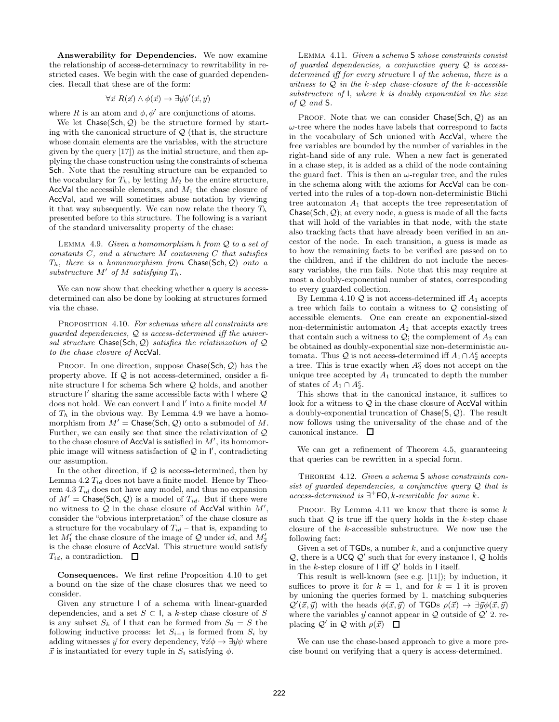Answerability for Dependencies. We now examine the relationship of access-determinacy to rewritability in restricted cases. We begin with the case of guarded dependencies. Recall that these are of the form:

$$
\forall \vec{x} \; R(\vec{x}) \land \phi(\vec{x}) \rightarrow \exists \vec{y} \phi'(\vec{x}, \vec{y})
$$

where R is an atom and  $\phi$ ,  $\phi'$  are conjunctions of atoms.

We let  $Chase(Sch, Q)$  be the structure formed by starting with the canonical structure of  $\mathcal{Q}$  (that is, the structure whose domain elements are the variables, with the structure given by the query [17]) as the initial structure, and then applying the chase construction using the constraints of schema Sch. Note that the resulting structure can be expanded to the vocabulary for  $T_h$ , by letting  $M_2$  be the entire structure, AccVal the accessible elements, and  $M_1$  the chase closure of AccVal, and we will sometimes abuse notation by viewing it that way subsequently. We can now relate the theory  $T_h$ presented before to this structure. The following is a variant of the standard universality property of the chase:

LEMMA 4.9. Given a homomorphism  $h$  from  $Q$  to a set of constants  $C$ , and a structure  $M$  containing  $C$  that satisfies  $T_h$ , there is a homomorphism from Chase(Sch, Q) onto a substructure  $M'$  of  $M$  satisfying  $T_h$ .

We can now show that checking whether a query is accessdetermined can also be done by looking at structures formed via the chase.

PROPOSITION 4.10. For schemas where all constraints are guarded dependencies,  $Q$  is access-determined iff the universal structure Chase(Sch,  $Q$ ) satisfies the relativization of  $Q$ to the chase closure of AccVal.

PROOF. In one direction, suppose Chase(Sch,  $Q$ ) has the property above. If  $\mathcal Q$  is not access-determined, onsider a finite structure I for schema Sch where Q holds, and another structure I' sharing the same accessible facts with I where  $Q$ does not hold. We can convert  $\mathsf I$  and  $\mathsf I'$  into a finite model  $M$ of  $T_h$  in the obvious way. By Lemma 4.9 we have a homomorphism from  $M' =$  Chase(Sch, Q) onto a submodel of M. Further, we can easily see that since the relativization of Q to the chase closure of  $AccVal$  is satisfied in  $M'$ , its homomorphic image will witness satisfaction of  $Q$  in  $\mathsf{I}'$ , contradicting our assumption.

In the other direction, if  $Q$  is access-determined, then by Lemma 4.2  $T_{id}$  does not have a finite model. Hence by Theorem  $4.3 T_{id}$  does not have any model, and thus no expansion of  $M' = \text{Chase}(\text{Sch}, \mathcal{Q})$  is a model of  $T_{id}$ . But if there were no witness to  $Q$  in the chase closure of AccVal within  $M'$ , consider the "obvious interpretation" of the chase closure as a structure for the vocabulary of  $T_{id}$  – that is, expanding to let  $M'_1$  the chase closure of the image of Q under id, and  $M'_2$ is the chase closure of AccVal. This structure would satisfy  $T_{id}$ , a contradiction.  $\Box$ 

Consequences. We first refine Proposition 4.10 to get a bound on the size of the chase closures that we need to consider.

Given any structure I of a schema with linear-guarded dependencies, and a set  $S \subset I$ , a k-step chase closure of S is any subset  $S_k$  of I that can be formed from  $S_0 = S$  the following inductive process: let  $S_{i+1}$  is formed from  $S_i$  by adding witnesses  $\vec{y}$  for every dependency,  $\forall \vec{x} \phi \rightarrow \exists \vec{y} \psi$  where  $\vec{x}$  is instantiated for every tuple in  $S_i$  satisfying  $\phi$ .

Lemma 4.11. Given a schema S whose constraints consist of quarded dependencies, a conjunctive query  $Q$  is accessdetermined iff for every structure I of the schema, there is a witness to  $Q$  in the k-step chase-closure of the k-accessible substructure of  $\mathsf{I}$ , where  $k$  is doubly exponential in the size of  $Q$  and  $S$ .

PROOF. Note that we can consider  $Chase(Sch, Q)$  as an  $\omega$ -tree where the nodes have labels that correspond to facts in the vocabulary of Sch unioned with AccVal, where the free variables are bounded by the number of variables in the right-hand side of any rule. When a new fact is generated in a chase step, it is added as a child of the node containing the guard fact. This is then an  $\omega$ -regular tree, and the rules in the schema along with the axioms for AccVal can be converted into the rules of a top-down non-deterministic Büchi tree automaton  $A_1$  that accepts the tree representation of Chase(Sch,  $Q$ ); at every node, a guess is made of all the facts that will hold of the variables in that node, with the state also tracking facts that have already been verified in an ancestor of the node. In each transition, a guess is made as to how the remaining facts to be verified are passed on to the children, and if the children do not include the necessary variables, the run fails. Note that this may require at most a doubly-exponential number of states, corresponding to every guarded collection.

By Lemma 4.10  $Q$  is not access-determined iff  $A_1$  accepts a tree which fails to contain a witness to  $\mathcal{Q}$  consisting of accessible elements. One can create an exponential-sized non-deterministic automaton  $A_2$  that accepts exactly trees that contain such a witness to  $\mathcal{Q}$ ; the complement of  $A_2$  can be obtained as doubly-exponential size non-deterministic automata. Thus  $\mathcal Q$  is not access-determined iff  $A_1 \cap A_2^c$  accepts a tree. This is true exactly when  $A_2^c$  does not accept on the unique tree accepted by  $A_1$  truncated to depth the number of states of  $A_1 \cap A_2^c$ .

This shows that in the canonical instance, it suffices to look for a witness to  $Q$  in the chase closure of AccVal within a doubly-exponential truncation of Chase(S, Q). The result now follows using the universality of the chase and of the canonical instance.  $\square$ 

We can get a refinement of Theorem 4.5, guaranteeing that queries can be rewritten in a special form.

THEOREM 4.12. Given a schema S whose constraints consist of guarded dependencies, a conjunctive query  $Q$  that is access-determined is  $\exists^+$  FO, k-rewritable for some k.

PROOF. By Lemma 4.11 we know that there is some  $k$ such that  $Q$  is true iff the query holds in the k-step chase closure of the k-accessible substructure. We now use the following fact:

Given a set of  $TGDs$ , a number k, and a conjunctive query  $Q$ , there is a UCQ  $Q'$  such that for every instance I,  $Q$  holds in the k-step closure of  $\mathsf I$  iff  $\mathcal Q'$  holds in  $\mathsf I$  itself.

This result is well-known (see e.g. [11]); by induction, it suffices to prove it for  $k = 1$ , and for  $k = 1$  it is proven by unioning the queries formed by 1. matching subqueries  $\mathcal{Q}'(\vec{x}, \vec{y})$  with the heads  $\phi(\vec{x}, \vec{y})$  of TGDs  $\rho(\vec{x}) \to \exists \vec{y} \phi(\vec{x}, \vec{y})$ where the variables  $\vec{y}$  cannot appear in  $\mathcal Q$  outside of  $\mathcal Q'$  2. replacing  $Q'$  in  $Q$  with  $\rho(\vec{x})$ 

We can use the chase-based approach to give a more precise bound on verifying that a query is access-determined.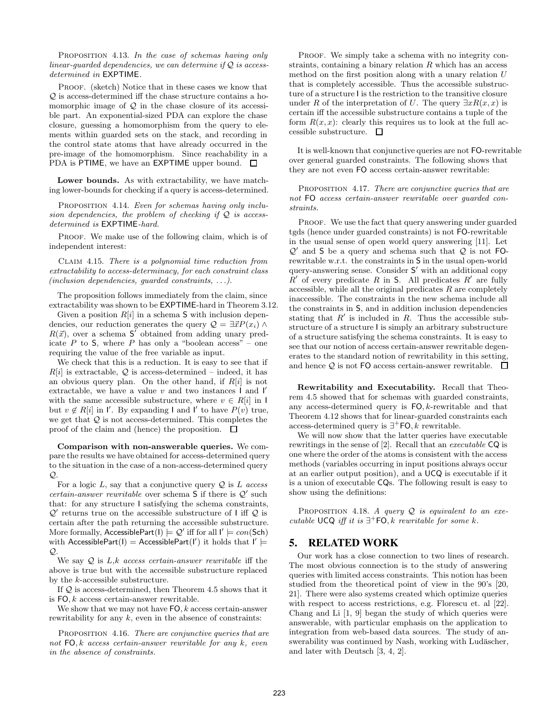PROPOSITION 4.13. In the case of schemas having only linear-guarded dependencies, we can determine if  $Q$  is accessdetermined in EXPTIME.

PROOF. (sketch) Notice that in these cases we know that Q is access-determined iff the chase structure contains a homomorphic image of  $Q$  in the chase closure of its accessible part. An exponential-sized PDA can explore the chase closure, guessing a homomorphism from the query to elements within guarded sets on the stack, and recording in the control state atoms that have already occurred in the pre-image of the homomorphism. Since reachability in a PDA is PTIME, we have an EXPTIME upper bound.  $\square$ 

Lower bounds. As with extractability, we have matching lower-bounds for checking if a query is access-determined.

PROPOSITION 4.14. Even for schemas having only inclusion dependencies, the problem of checking if  $Q$  is accessdetermined is EXPTIME-hard.

PROOF. We make use of the following claim, which is of independent interest:

Claim 4.15. There is a polynomial time reduction from extractability to access-determinacy, for each constraint class (inclusion dependencies, guarded constraints, . . .).

The proposition follows immediately from the claim, since extractability was shown to be EXPTIME-hard in Theorem 3.12.

Given a position  $R[i]$  in a schema S with inclusion dependencies, our reduction generates the query  $\mathcal{Q} = \exists \vec{x} P(x_i) \land$  $R(\vec{x})$ , over a schema S' obtained from adding unary predicate  $P$  to  $S$ , where  $P$  has only a "boolean access" – one requiring the value of the free variable as input.

We check that this is a reduction. It is easy to see that if  $R[i]$  is extractable,  $Q$  is access-determined – indeed, it has an obvious query plan. On the other hand, if  $R[i]$  is not extractable, we have a value  $v$  and two instances  $\overline{\mathsf{I}}$  and  $\overline{\mathsf{I}}'$ with the same accessible substructure, where  $v \in R[i]$  in I but  $v \notin R[i]$  in  $\mathsf{I}'$ . By expanding  $\mathsf{I}$  and  $\mathsf{I}'$  to have  $P(v)$  true, we get that  $Q$  is not access-determined. This completes the proof of the claim and (hence) the proposition.  $\Box$ 

Comparison with non-answerable queries. We compare the results we have obtained for access-determined query to the situation in the case of a non-access-determined query  $\mathcal{Q}$ 

For a logic  $L$ , say that a conjunctive query  $\mathcal{Q}$  is  $L$  access certain-answer rewritable over schema  $S$  if there is  $Q'$  such that: for any structure I satisfying the schema constraints,  $\mathcal{Q}'$  returns true on the accessible substructure of  $\sf I$  iff  $\mathcal Q$  is certain after the path returning the accessible substructure. More formally, AccessiblePart(I)  $\models Q'$  iff for all  $I' \models con(\mathsf{Sch})$ with AccessiblePart(I) = AccessiblePart(I') it holds that  $I' \models$  $\mathcal{O}$ 

We say  $Q$  is  $L,k$  access certain-answer rewritable iff the above is true but with the accessible substructure replaced by the k-accessible substructure.

If Q is access-determined, then Theorem 4.5 shows that it is  $FO, k$  access certain-answer rewritable.

We show that we may not have  $FO, k$  access certain-answer rewritability for any  $k$ , even in the absence of constraints:

PROPOSITION 4.16. There are conjunctive queries that are not  $FO, k$  access certain-answer rewritable for any  $k$ , even in the absence of constraints.

PROOF. We simply take a schema with no integrity constraints, containing a binary relation  $R$  which has an access method on the first position along with a unary relation U that is completely accessible. Thus the accessible substructure of a structure I is the restriction to the transitive closure under R of the interpretation of U. The query  $\exists x R(x,x)$  is certain iff the accessible substructure contains a tuple of the form  $R(x, x)$ : clearly this requires us to look at the full accessible substructure.  $\square$ 

It is well-known that conjunctive queries are not FO-rewritable over general guarded constraints. The following shows that they are not even FO access certain-answer rewritable:

PROPOSITION 4.17. There are conjunctive queries that are not FO access certain-answer rewritable over guarded constraints.

PROOF. We use the fact that query answering under guarded tgds (hence under guarded constraints) is not FO-rewritable in the usual sense of open world query answering [11]. Let  $Q'$  and S be a query and schema such that  $Q$  is not FOrewritable w.r.t. the constraints in S in the usual open-world query-answering sense. Consider S ′ with an additional copy  $R'$  of every predicate R in S. All predicates  $R'$  are fully accessible, while all the original predicates  $R$  are completely inaccessible. The constraints in the new schema include all the constraints in S, and in addition inclusion dependencies stating that  $R'$  is included in  $R$ . Thus the accessible substructure of a structure I is simply an arbitrary substructure of a structure satisfying the schema constraints. It is easy to see that our notion of access certain-answer rewritable degenerates to the standard notion of rewritability in this setting, and hence  $Q$  is not FO access certain-answer rewritable.  $\square$ 

Rewritability and Executability. Recall that Theorem 4.5 showed that for schemas with guarded constraints, any access-determined query is FO, k-rewritable and that Theorem 4.12 shows that for linear-guarded constraints each access-determined query is  $\exists^+$ FO, k rewritable.

We will now show that the latter queries have executable rewritings in the sense of [2]. Recall that an executable CQ is one where the order of the atoms is consistent with the access methods (variables occurring in input positions always occur at an earlier output position), and a UCQ is executable if it is a union of executable CQs. The following result is easy to show using the definitions:

PROPOSITION 4.18. A query  $Q$  is equivalent to an executable UCQ iff it is  $\exists^+$ FO, k rewritable for some k.

### **5. RELATED WORK**

Our work has a close connection to two lines of research. The most obvious connection is to the study of answering queries with limited access constraints. This notion has been studied from the theoretical point of view in the 90's [20, 21]. There were also systems created which optimize queries with respect to access restrictions, e.g. Florescu et. al [22]. Chang and Li [1, 9] began the study of which queries were answerable, with particular emphasis on the application to integration from web-based data sources. The study of answerability was continued by Nash, working with Ludäscher, and later with Deutsch [3, 4, 2].